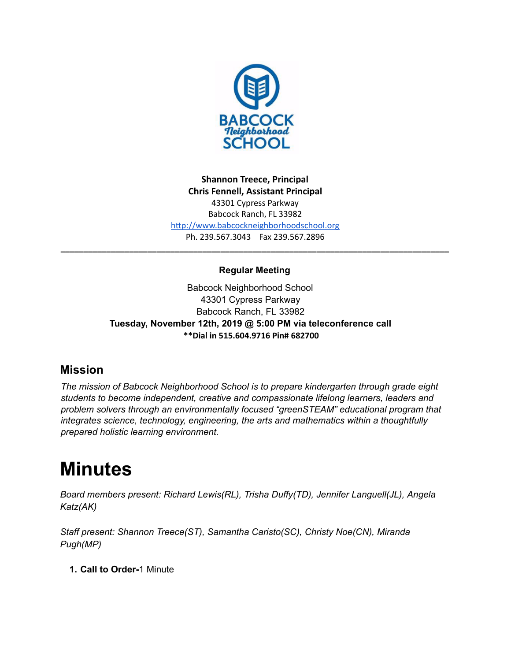

**Shannon Treece, Principal Chris Fennell, Assistant Principal**  43301 Cypress Parkway Babcock Ranch, FL 33982 http://www.babcockneighborhoodschool.org Ph. 239.567.3043 Fax 239.567.2896

# **Regular Meeting**

**\_\_\_\_\_\_\_\_\_\_\_\_\_\_\_\_\_\_\_\_\_\_\_\_\_\_\_\_\_\_\_\_\_\_\_\_\_\_\_\_\_\_\_\_\_\_\_\_\_\_\_\_\_\_\_\_\_\_\_\_\_\_\_\_\_\_\_\_\_\_\_\_\_\_\_\_\_\_\_\_\_\_\_\_\_**

Babcock Neighborhood School 43301 Cypress Parkway Babcock Ranch, FL 33982 **Tuesday, November 12th, 2019 @ 5:00 PM via teleconference call \*\*Dial in 515.604.9716 Pin# 682700**

# **Mission**

*The mission of Babcock Neighborhood School is to prepare kindergarten through grade eight students to become independent, creative and compassionate lifelong learners, leaders and problem solvers through an environmentally focused "greenSTEAM" educational program that integrates science, technology, engineering, the arts and mathematics within a thoughtfully prepared holistic learning environment.*

# **Minutes**

*Board members present: Richard Lewis(RL), Trisha Duffy(TD), Jennifer Languell(JL), Angela Katz(AK)*

*Staff present: Shannon Treece(ST), Samantha Caristo(SC), Christy Noe(CN), Miranda Pugh(MP)*

**1. Call to Order-**1 Minute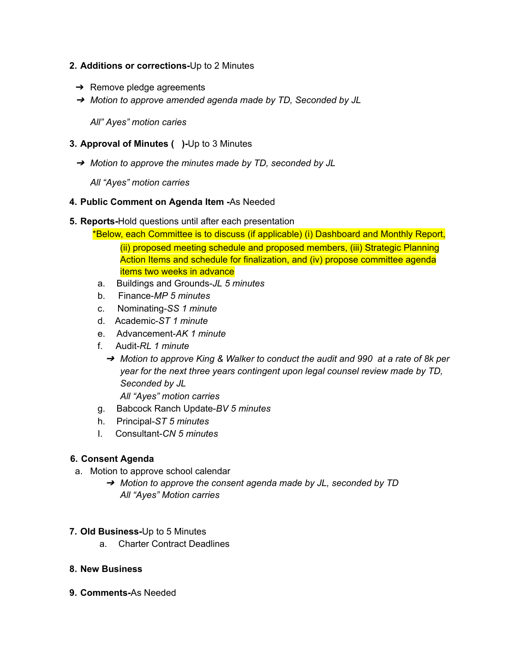#### **2. Additions or corrections-**Up to 2 Minutes

- $\rightarrow$  Remove pledge agreements
- ➔ *Motion to approve amended agenda made by TD, Seconded by JL*

*All" Ayes" motion caries*

#### **3. Approval of Minutes ( )-**Up to 3 Minutes

➔ *Motion to approve the minutes made by TD, seconded by JL*

*All "Ayes" motion carries*

#### **4. Public Comment on Agenda Item -**As Needed

#### **5. Reports-**Hold questions until after each presentation

\*Below, each Committee is to discuss (if applicable) (i) Dashboard and Monthly Report, (ii) proposed meeting schedule and proposed members, (iii) Strategic Planning Action Items and schedule for finalization, and (iv) propose committee agenda items two weeks in advance

- a. Buildings and Grounds-*JL 5 minutes*
- b. Finance-*MP 5 minutes*
- c. Nominating-*SS 1 minute*
- d. Academic-*ST 1 minute*
- e. Advancement-*AK 1 minute*
- f. Audit-*RL 1 minute*
	- ➔ *Motion to approve King & Walker to conduct the audit and 990 at a rate of 8k per year for the next three years contingent upon legal counsel review made by TD, Seconded by JL*

*All "Ayes" motion carries*

- g. Babcock Ranch Update-*BV 5 minutes*
- h. Principal-*ST 5 minutes*
- I. Consultant-*CN 5 minutes*

#### **6. Consent Agenda**

- a. Motion to approve school calendar
	- ➔ *Motion to approve the consent agenda made by JL, seconded by TD All "Ayes" Motion carries*
- **7. Old Business-**Up to 5 Minutes
	- a. Charter Contract Deadlines
- **8. New Business**
- **9. Comments-**As Needed